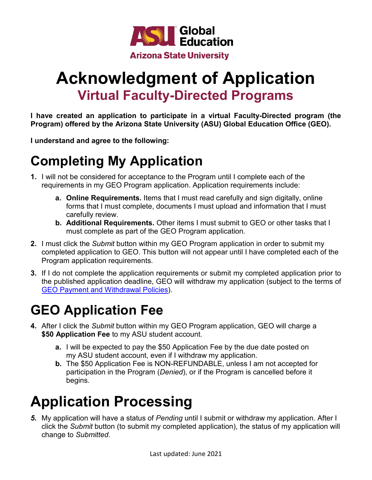

## **Acknowledgment of Application Virtual Faculty-Directed Programs**

**I have created an application to participate in a virtual Faculty-Directed program (the Program) offered by the Arizona State University (ASU) Global Education Office (GEO).**

**I understand and agree to the following:**

## **Completing My Application**

- **1.** I will not be considered for acceptance to the Program until I complete each of the requirements in my GEO Program application. Application requirements include:
	- **a. Online Requirements.** Items that I must read carefully and sign digitally, online forms that I must complete, documents I must upload and information that I must carefully review.
	- **b. Additional Requirements.** Other items I must submit to GEO or other tasks that I must complete as part of the GEO Program application.
- **2.** I must click the *Submit* button within my GEO Program application in order to submit my completed application to GEO. This button will not appear until I have completed each of the Program application requirements.
- **3.** If I do not complete the application requirements or submit my completed application prior to the published application deadline, GEO will withdraw my application (subject to the terms of [GEO Payment and Withdrawal Policies\)](https://studyabroad.asu.edu/_customtags/ct_FileRetrieve.cfm?File_ID=358160).

### **GEO Application Fee**

- **4.** After I click the *Submit* button within my GEO Program application, GEO will charge a **\$50 Application Fee** to my ASU student account.
	- **a.** I will be expected to pay the \$50 Application Fee by the due date posted on my ASU student account, even if I withdraw my application.
	- **b.** The \$50 Application Fee is NON-REFUNDABLE, unless I am not accepted for participation in the Program (*Denied*), or if the Program is cancelled before it begins.

# **Application Processing**

*5.* My application will have a status of *Pending* until I submit or withdraw my application. After I click the *Submit* button (to submit my completed application), the status of my application will change to *Submitted.*